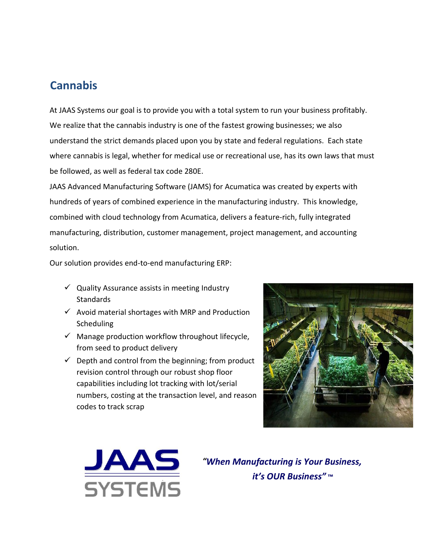## **Cannabis**

At JAAS Systems our goal is to provide you with a total system to run your business profitably. We realize that the cannabis industry is one of the fastest growing businesses; we also understand the strict demands placed upon you by state and federal regulations. Each state where cannabis is legal, whether for medical use or recreational use, has its own laws that must be followed, as well as federal tax code 280E.

[JAAS](https://www.acumatica.com/solutions/solution_manufacturing) [Advanced](https://www.acumatica.com/solutions/solution_manufacturing) [Manufacturing](https://www.acumatica.com/solutions/solution_manufacturing) [Software](https://www.acumatica.com/solutions/solution_manufacturing) [\(JAMS\)](https://www.acumatica.com/solutions/solution_manufacturing) [for](https://www.acumatica.com/solutions/solution_manufacturing) [Acumatica](https://www.acumatica.com/solutions/solution_manufacturing) was created by experts with hundreds of years of combined experience in the manufacturing industry. This knowledge, combined with cloud technology from Acumatica, delivers a feature-rich, fully integrated manufacturing, distribution, customer management, project management, and accounting solution.

Our solution provides end-to-end manufacturing ERP:

- $\checkmark$  Quality Assurance assists in meeting Industry **Standards**
- $\checkmark$  Avoid material shortages with MRP and Production Scheduling
- $\checkmark$  Manage production workflow throughout lifecycle, from seed to product delivery
- $\checkmark$  Depth and control from the beginning; from product revision control through our robust shop floor capabilities including lot tracking with lot/serial numbers, costing at the transaction level, and reason codes to track scrap





*"When Manufacturing is Your Business, it's OUR Business"* **™**